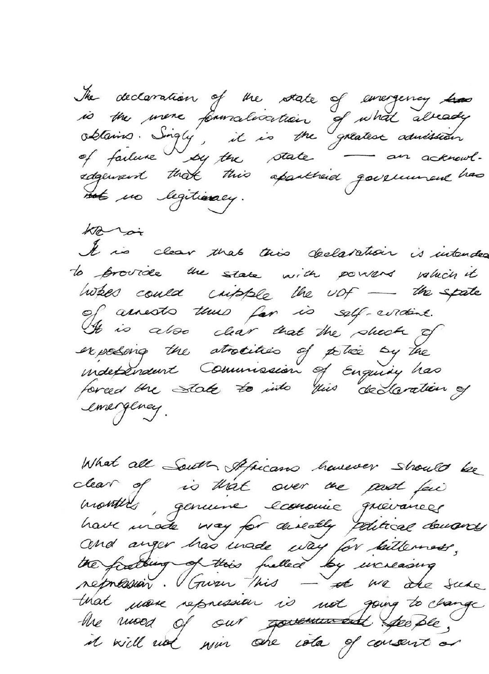The declaration of the state of emergency has<br>is the more formalisation of what already<br>obtains. Singly, it is the greatest admission not no legitimacy.

hari It is clear that this declaration is intended to provide the state with powers value's it when could cripple the upf - the spate of assests thus far is self-circlent. It is also clear that the shock of independent Commission of Enquiry has emergency.

What all South Africans havever should be clear of is that over me past fai months, genuine economie qu'annez have made way for diseally political demands and anger has unade way for killerness,<br>the footbing of this fulled by increasing that use repression is not going to change the mood of our <del>government</del> specific, it will not win one isla of consent or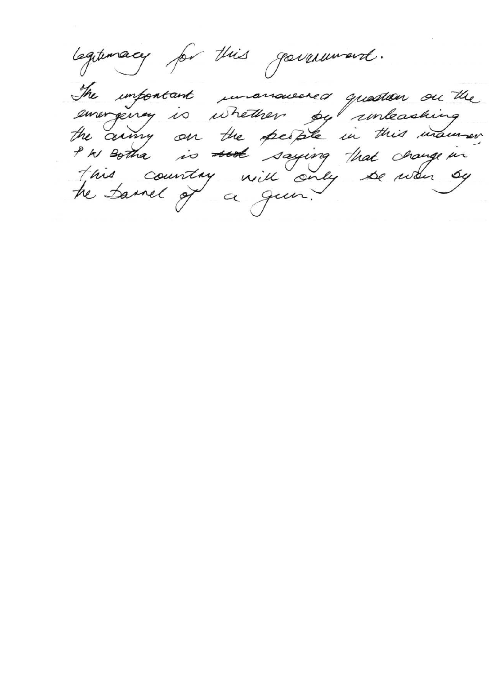legituracy for this government. The important unanaissered quartien on the emergency is whether by unleashing<br>the cumy on the people in this main we This country will only be wan by he Samel of a gun.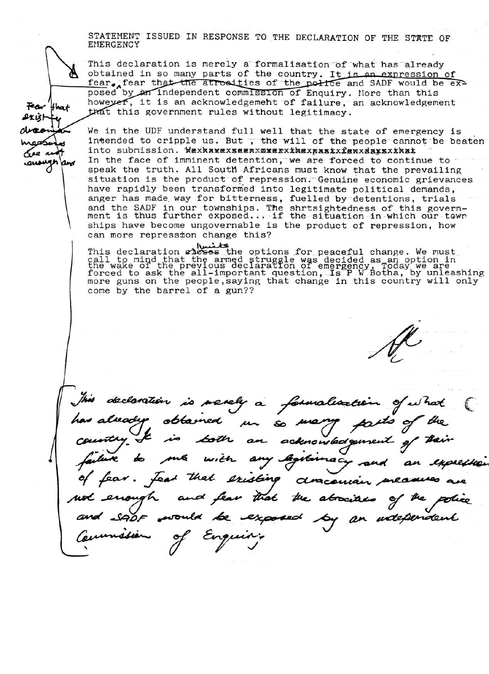STATEMENT ISSUED IN RESPONSE TO THE DECLARATION OF THE STATE OF EMERGENCY

This declaration is merely a formalisation of what has already obtained in so many parts of the country. It is an expression of fear. fear that the atrosities of the police and SADF would be exposed by an independent commission of Enquiry. More than this however, it is an acknowledgement of failure, an acknowledgement that this government rules without legitimacy.

Fear that

₽κιsι−

se n

We in the UDF understand full well that the state of emergency is intended to cripple us. But, the will of the people cannot be beaten into submission. Wexhawexseenxswerxxhexpastxfewxdaxsxxhat In the face of imminent detention, we are forced to continue to speak the truth. All South Africans must know that the prevailing situation is the product of repression. Genuine economic grievances have rapidly been transformed into legitimate political demands, anger has made way for bitterness, fuelled by detentions, trials and the SADF in our townships. The shrtsightedness of this govern-<br>ment is thus further exposed... if the situation in which our town ships have become ungovernable is the product of repression, how can more repression change this?

This declaration **chooses** the options for peaceful change. We must<br>call to mind that the armed struggle was decided as an option in<br>the wake of the previous declaration of emergency. Today we are<br>forced to ask the all-imp come by the barrel of a gun??

declaration is merely a formalization obtained is  $\frac{1}{\sqrt{2}}$ an acknowledgement with an **agitive** expresse feat that existing dracoma and fear that the abocited would be exposed by an udependent Commission of Enquire